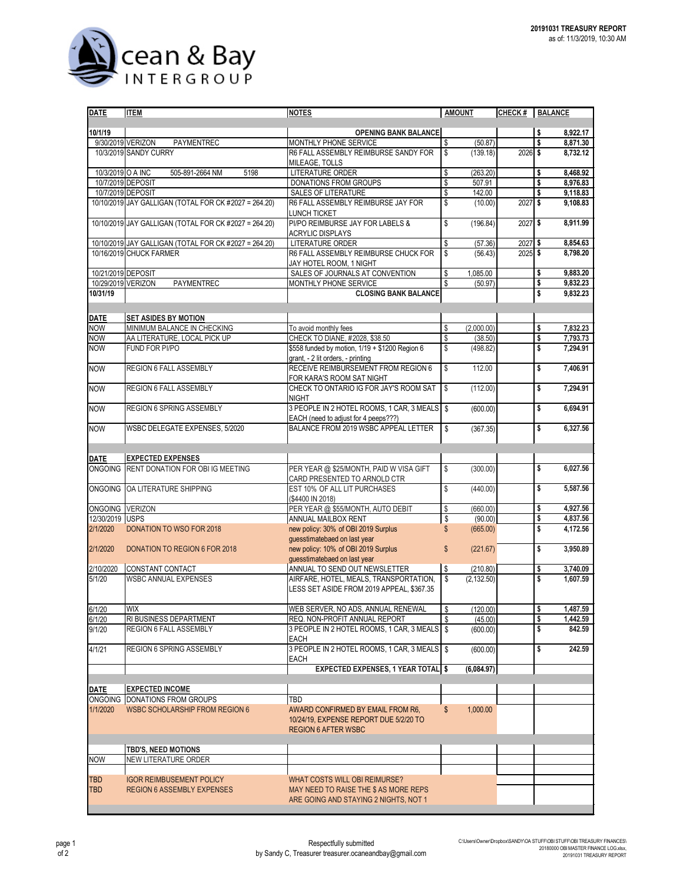

| <b>DATE</b>              | <b>ITEM</b>                                                          | <b>NOTES</b>                                                                                              |               | <b>AMOUNT</b> | <b>CHECK#</b> |    | <b>BALANCE</b> |
|--------------------------|----------------------------------------------------------------------|-----------------------------------------------------------------------------------------------------------|---------------|---------------|---------------|----|----------------|
|                          |                                                                      |                                                                                                           |               |               |               |    |                |
| 10/1/19                  |                                                                      | <b>OPENING BANK BALANCE</b>                                                                               |               |               |               | s  | 8,922.17       |
|                          | 9/30/2019 VERIZON<br><b>PAYMENTREC</b>                               | <b>MONTHLY PHONE SERVICE</b>                                                                              | \$            | (50.87)       |               | s  | 8,871.30       |
|                          | 10/3/2019 SANDY CURRY                                                | R6 FALL ASSEMBLY REIMBURSE SANDY FOR<br>MILEAGE, TOLLS                                                    | \$            | (139.18)      | 2026          | -S | 8,732.12       |
| 10/3/2019 O A INC        | 505-891-2664 NM<br>5198                                              | LITERATURE ORDER                                                                                          | \$            | (263.20)      |               | \$ | 8,468.92       |
|                          | 10/7/2019 DEPOSIT                                                    | DONATIONS FROM GROUPS                                                                                     | \$            | 507.91        |               | \$ | 8,976.83       |
|                          | 10/7/2019 DEPOSIT                                                    | <b>SALES OF LITERATURE</b>                                                                                | \$            | 142.00        |               | s  | 9,118.83       |
|                          | 10/10/2019 JAY GALLIGAN (TOTAL FOR CK #2027 = 264.20)                | R6 FALL ASSEMBLY REIMBURSE JAY FOR<br><b>LUNCH TICKET</b>                                                 | \$            | (10.00)       | 2027          | \$ | 9,108.83       |
|                          | 10/10/2019 JAY GALLIGAN (TOTAL FOR CK #2027 = 264.20)                | PI/PO REIMBURSE JAY FOR LABELS &<br><b>ACRYLIC DISPLAYS</b>                                               | \$            | (196.84)      | 2027 \$       |    | 8,911.99       |
|                          | 10/10/2019 JAY GALLIGAN (TOTAL FOR CK #2027 = 264.20)                | LITERATURE ORDER                                                                                          | \$            | (57.36)       | 2027 \$       |    | 8,854.63       |
|                          | 10/16/2019 CHUCK FARMER                                              | R6 FALL ASSEMBLY REIMBURSE CHUCK FOR                                                                      | \$            | (56.43)       | $2025$ \$     |    | 8.798.20       |
|                          |                                                                      | JAY HOTEL ROOM, 1 NIGHT                                                                                   |               |               |               |    |                |
| 10/21/2019 DEPOSIT       |                                                                      | SALES OF JOURNALS AT CONVENTION                                                                           | \$            | 1,085.00      |               | s  | 9,883.20       |
| 10/29/2019 VERIZON       | PAYMENTREC                                                           | MONTHLY PHONE SERVICE                                                                                     | \$            | (50.97)       |               | \$ | 9,832.23       |
| 10/31/19                 |                                                                      | <b>CLOSING BANK BALANCE</b>                                                                               |               |               |               | s  | 9,832.23       |
| DATE                     | <b>SET ASIDES BY MOTION</b>                                          |                                                                                                           |               |               |               |    |                |
| <b>NOW</b>               | MINIMUM BALANCE IN CHECKING                                          | To avoid monthly fees                                                                                     | \$            | (2,000.00)    |               | \$ | 7,832.23       |
| <b>NOW</b>               | AA LITERATURE, LOCAL PICK UP                                         | CHECK TO DIANE, #2028, \$38.50                                                                            | \$            | (38.50)       |               | \$ | 7,793.73       |
| <b>NOW</b>               | <b>FUND FOR PI/PO</b>                                                | \$558 funded by motion, 1/19 + \$1200 Region 6                                                            | \$            | (498.82)      |               | \$ | 7,294.91       |
|                          |                                                                      | grant, - 2 lit orders, - printing<br>RECEIVE REIMBURSEMENT FROM REGION 6                                  |               |               |               |    |                |
| <b>NOW</b>               | REGION 6 FALL ASSEMBLY                                               | FOR KARA'S ROOM SAT NIGHT                                                                                 | \$            | 112.00        |               | \$ | 7,406.91       |
| <b>NOW</b>               | REGION 6 FALL ASSEMBLY                                               | CHECK TO ONTARIO IG FOR JAY'S ROOM SAT<br><b>NIGHT</b>                                                    | \$            | (112.00)      |               | \$ | 7,294.91       |
| <b>NOW</b>               | REGION 6 SPRING ASSEMBLY                                             | 3 PEOPLE IN 2 HOTEL ROOMS, 1 CAR, 3 MEALS<br>EACH (need to adjust for 4 peeps???)                         | \$            | (600.00)      |               | \$ | 6,694.91       |
| <b>NOW</b>               | WSBC DELEGATE EXPENSES, 5/2020                                       | BALANCE FROM 2019 WSBC APPEAL LETTER                                                                      | \$            | (367.35)      |               | \$ | 6,327.56       |
|                          |                                                                      |                                                                                                           |               |               |               |    |                |
| <b>DATE</b>              | <b>EXPECTED EXPENSES</b>                                             |                                                                                                           |               |               |               |    |                |
| ONGOING                  | <b>RENT DONATION FOR OBI IG MEETING</b>                              | PER YEAR @ \$25/MONTH, PAID W VISA GIFT<br>CARD PRESENTED TO ARNOLD CTR                                   | \$            | (300.00)      |               | \$ | 6,027.56       |
| <b>ONGOING</b>           | OA LITERATURE SHIPPING                                               | EST 10% OF ALL LIT PURCHASES<br>(\$4400 IN 2018)                                                          | $\mathbb{S}$  | (440.00)      |               | \$ | 5,587.56       |
| ONGOING VERIZON          |                                                                      | PER YEAR @ \$55/MONTH, AUTO DEBIT                                                                         | \$            | (660.00)      |               | \$ | 4,927.56       |
| 12/30/2019 USPS          |                                                                      | ANNUAL MAILBOX RENT                                                                                       | \$            | (90.00)       |               | \$ | 4,837.56       |
| 2/1/2020                 | DONATION TO WSO FOR 2018                                             | new policy: 30% of OBI 2019 Surplus                                                                       | $\mathbb{S}$  | (665.00)      |               | \$ | 4,172.56       |
|                          |                                                                      | guesstimatebaed on last year                                                                              |               |               |               |    |                |
| 2/1/2020                 | DONATION TO REGION 6 FOR 2018                                        | new policy: 10% of OBI 2019 Surplus<br>guesstimatebaed on last year                                       | $\mathsf{\$}$ | (221.67)      |               | \$ | 3,950.89       |
| 2/10/2020                | CONSTANT CONTACT                                                     | ANNUAL TO SEND OUT NEWSLETTER                                                                             | \$            | (210.80)      |               | \$ | 3.740.09       |
| 5/1/20                   | <b>WSBC ANNUAL EXPENSES</b>                                          | AIRFARE, HOTEL, MEALS, TRANSPORTATION,<br>LESS SET ASIDE FROM 2019 APPEAL, \$367.35                       |               | (2, 132.50)   |               | \$ | 1,607.59       |
| 6/1/20                   | WIX                                                                  | WEB SERVER, NO ADS, ANNUAL RENEWAL                                                                        | \$            | (120.00)      |               | \$ | 1,487.59       |
| 6/1/20                   | <b>RI BUSINESS DEPARTMENT</b>                                        | REQ. NON-PROFIT ANNUAL REPORT                                                                             | \$            | (45.00)       |               | \$ | 1,442.59       |
| 9/1/20                   | <b>REGION 6 FALL ASSEMBLY</b>                                        | 3 PEOPLE IN 2 HOTEL ROOMS, 1 CAR, 3 MEALS   \$                                                            |               | (600.00)      |               | \$ | 842.59         |
| 4/1/21                   | <b>REGION 6 SPRING ASSEMBLY</b>                                      | EACH<br>3 PEOPLE IN 2 HOTEL ROOMS, 1 CAR, 3 MEALS \$                                                      |               | (600.00)      |               | \$ | 242.59         |
|                          |                                                                      | EACH<br><b>EXPECTED EXPENSES, 1 YEAR TOTAL \$</b>                                                         |               | (6,084.97)    |               |    |                |
|                          |                                                                      |                                                                                                           |               |               |               |    |                |
| <b>DATE</b>              | <b>EXPECTED INCOME</b>                                               |                                                                                                           |               |               |               |    |                |
|                          | ONGOING   DONATIONS FROM GROUPS                                      | TBD                                                                                                       |               |               |               |    |                |
| 1/1/2020                 | <b>WSBC SCHOLARSHIP FROM REGION 6</b>                                | AWARD CONFIRMED BY EMAIL FROM R6.<br>10/24/19, EXPENSE REPORT DUE 5/2/20 TO<br><b>REGION 6 AFTER WSBC</b> | $\mathbb{S}$  | 1,000.00      |               |    |                |
|                          | <b>TBD'S, NEED MOTIONS</b>                                           |                                                                                                           |               |               |               |    |                |
| <b>NOW</b>               | <b>NEW LITERATURE ORDER</b>                                          |                                                                                                           |               |               |               |    |                |
|                          |                                                                      |                                                                                                           |               |               |               |    |                |
| <b>TBD</b><br><b>TBD</b> | <b>IGOR REIMBUSEMENT POLICY</b><br><b>REGION 6 ASSEMBLY EXPENSES</b> | WHAT COSTS WILL OBI REIMURSE?<br>MAY NEED TO RAISE THE \$ AS MORE REPS                                    |               |               |               |    |                |
|                          |                                                                      | ARE GOING AND STAYING 2 NIGHTS, NOT 1                                                                     |               |               |               |    |                |